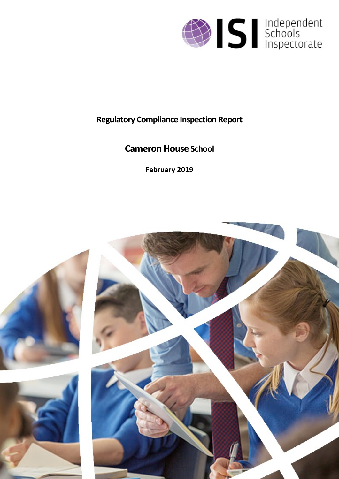

# **Regulatory Compliance Inspection Report**

# **Cameron House School**

**February 2019**

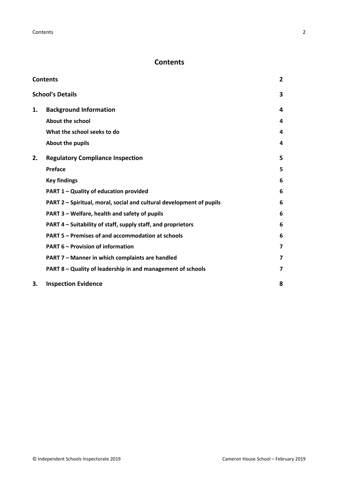# <span id="page-1-0"></span>**Contents**

| <b>Contents</b> |                                                                      |                         |
|-----------------|----------------------------------------------------------------------|-------------------------|
|                 | <b>School's Details</b>                                              | 3                       |
| 1.              | <b>Background Information</b>                                        | 4                       |
|                 | <b>About the school</b>                                              | 4                       |
|                 | What the school seeks to do                                          | 4                       |
|                 | About the pupils                                                     | 4                       |
| 2.              | <b>Regulatory Compliance Inspection</b>                              | 5                       |
|                 | <b>Preface</b>                                                       | 5                       |
|                 | <b>Key findings</b>                                                  | 6                       |
|                 | PART 1 - Quality of education provided                               | 6                       |
|                 | PART 2 - Spiritual, moral, social and cultural development of pupils | 6                       |
|                 | PART 3 – Welfare, health and safety of pupils                        | 6                       |
|                 | PART 4 – Suitability of staff, supply staff, and proprietors         | 6                       |
|                 | PART 5 - Premises of and accommodation at schools                    | 6                       |
|                 | <b>PART 6 - Provision of information</b>                             | $\overline{\mathbf{z}}$ |
|                 | PART 7 - Manner in which complaints are handled                      | $\overline{\mathbf{z}}$ |
|                 | PART 8 - Quality of leadership in and management of schools          | 7                       |
| 3.              | <b>Inspection Evidence</b>                                           | 8                       |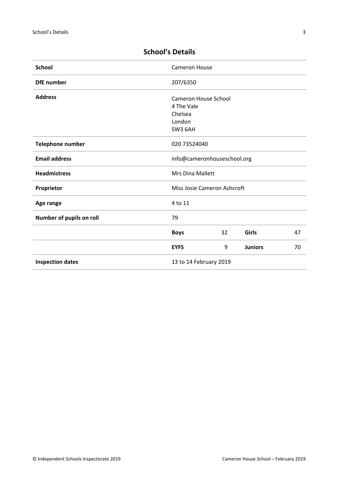| <b>School</b>            | <b>Cameron House</b>        |    |                |    |
|--------------------------|-----------------------------|----|----------------|----|
| <b>DfE</b> number        | 207/6350                    |    |                |    |
| <b>Address</b>           | Cameron House School        |    |                |    |
|                          | 4 The Vale                  |    |                |    |
|                          | Chelsea                     |    |                |    |
|                          | London                      |    |                |    |
|                          | SW3 6AH                     |    |                |    |
| Telephone number         | 020 73524040                |    |                |    |
| <b>Email address</b>     | info@cameronhouseschool.org |    |                |    |
| <b>Headmistress</b>      | Mrs Dina Mallett            |    |                |    |
| Proprietor               | Miss Josie Cameron Ashcroft |    |                |    |
| Age range                | 4 to 11                     |    |                |    |
| Number of pupils on roll | 79                          |    |                |    |
|                          | <b>Boys</b>                 | 32 | Girls          | 47 |
|                          | <b>EYFS</b>                 | 9  | <b>Juniors</b> | 70 |
| <b>Inspection dates</b>  | 13 to 14 February 2019      |    |                |    |

# <span id="page-2-0"></span>**School's Details**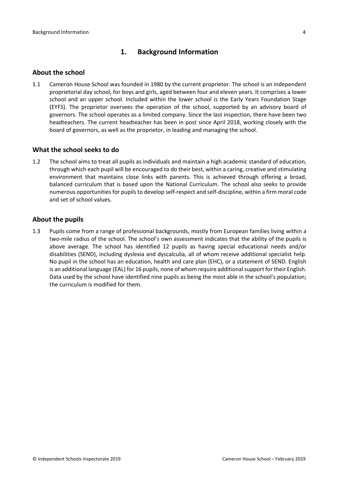# <span id="page-3-0"></span>**1. Background Information**

#### <span id="page-3-1"></span>**About the school**

1.1 Cameron House School was founded in 1980 by the current proprietor. The school is an independent proprietorial day school, for boys and girls, aged between four and eleven years. It comprises a lower school and an upper school. Included within the lower school is the Early Years Foundation Stage (EYFS). The proprietor oversees the operation of the school, supported by an advisory board of governors. The school operates as a limited company. Since the last inspection, there have been two headteachers. The current headteacher has been in post since April 2018, working closely with the board of governors, as well as the proprietor, in leading and managing the school.

#### <span id="page-3-2"></span>**What the school seeks to do**

1.2 The school aims to treat all pupils as individuals and maintain a high academic standard of education, through which each pupil will be encouraged to do their best, within a caring, creative and stimulating environment that maintains close links with parents. This is achieved through offering a broad, balanced curriculum that is based upon the National Curriculum. The school also seeks to provide numerous opportunities for pupils to develop self-respect and self-discipline, within a firm moral code and set of school values.

#### <span id="page-3-3"></span>**About the pupils**

1.3 Pupils come from a range of professional backgrounds, mostly from European families living within a two-mile radius of the school. The school's own assessment indicates that the ability of the pupils is above average. The school has identified 12 pupils as having special educational needs and/or disabilities (SEND), including dyslexia and dyscalculia, all of whom receive additional specialist help. No pupil in the school has an education, health and care plan (EHC), or a statement of SEND. English is an additional language (EAL) for 16 pupils, none of whom require additional support for their English. Data used by the school have identified nine pupils as being the most able in the school's population; the curriculum is modified for them.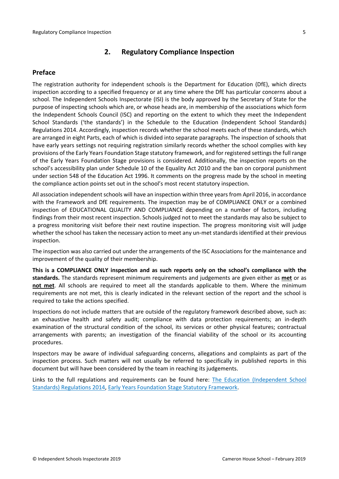# <span id="page-4-0"></span>**2. Regulatory Compliance Inspection**

#### <span id="page-4-1"></span>**Preface**

The registration authority for independent schools is the Department for Education (DfE), which directs inspection according to a specified frequency or at any time where the DfE has particular concerns about a school. The Independent Schools Inspectorate (ISI) is the body approved by the Secretary of State for the purpose of inspecting schools which are, or whose heads are, in membership of the associations which form the Independent Schools Council (ISC) and reporting on the extent to which they meet the Independent School Standards ('the standards') in the Schedule to the Education (Independent School Standards) Regulations 2014. Accordingly, inspection records whether the school meets each of these standards, which are arranged in eight Parts, each of which is divided into separate paragraphs. The inspection of schools that have early years settings not requiring registration similarly records whether the school complies with key provisions of the Early Years Foundation Stage statutory framework, and for registered settings the full range of the Early Years Foundation Stage provisions is considered. Additionally, the inspection reports on the school's accessibility plan under Schedule 10 of the Equality Act 2010 and the ban on corporal punishment under section 548 of the Education Act 1996. It comments on the progress made by the school in meeting the compliance action points set out in the school's most recent statutory inspection.

All association independent schools will have an inspection within three yearsfrom April 2016, in accordance with the Framework and DfE requirements. The inspection may be of COMPLIANCE ONLY or a combined inspection of EDUCATIONAL QUALITY AND COMPLIANCE depending on a number of factors, including findings from their most recent inspection. Schools judged not to meet the standards may also be subject to a progress monitoring visit before their next routine inspection. The progress monitoring visit will judge whether the school has taken the necessary action to meet any un-met standards identified at their previous inspection.

The inspection was also carried out under the arrangements of the ISC Associations for the maintenance and improvement of the quality of their membership.

**This is a COMPLIANCE ONLY inspection and as such reports only on the school's compliance with the standards.** The standards represent minimum requirements and judgements are given either as **met** or as **not met**. All schools are required to meet all the standards applicable to them. Where the minimum requirements are not met, this is clearly indicated in the relevant section of the report and the school is required to take the actions specified.

Inspections do not include matters that are outside of the regulatory framework described above, such as: an exhaustive health and safety audit; compliance with data protection requirements; an in-depth examination of the structural condition of the school, its services or other physical features; contractual arrangements with parents; an investigation of the financial viability of the school or its accounting procedures.

Inspectors may be aware of individual safeguarding concerns, allegations and complaints as part of the inspection process. Such matters will not usually be referred to specifically in published reports in this document but will have been considered by the team in reaching its judgements.

Links to the full regulations and requirements can be found here: The Education [\(Independent](http://www.legislation.gov.uk/uksi/2014/3283/contents/made) School Standards) [Regulations](http://www.legislation.gov.uk/uksi/2014/3283/contents/made) 2014, Early Years Foundation Stage Statutory [Framework.](https://www.gov.uk/government/publications/early-years-foundation-stage-framework--2)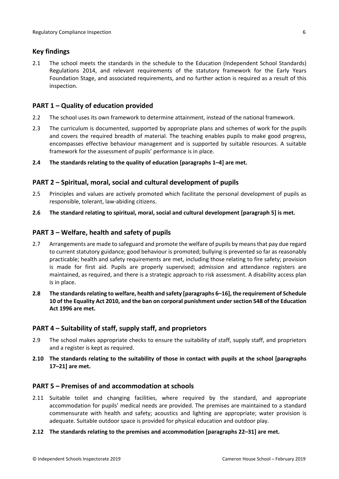### <span id="page-5-0"></span>**Key findings**

2.1 The school meets the standards in the schedule to the Education (Independent School Standards) Regulations 2014, and relevant requirements of the statutory framework for the Early Years Foundation Stage, and associated requirements, and no further action is required as a result of this inspection.

# <span id="page-5-1"></span>**PART 1 – Quality of education provided**

- 2.2 The school uses its own framework to determine attainment, instead of the national framework.
- 2.3 The curriculum is documented, supported by appropriate plans and schemes of work for the pupils and covers the required breadth of material. The teaching enables pupils to make good progress, encompasses effective behaviour management and is supported by suitable resources. A suitable framework for the assessment of pupils' performance is in place.
- **2.4 The standards relating to the quality of education [paragraphs 1–4] are met.**

#### <span id="page-5-2"></span>**PART 2 – Spiritual, moral, social and cultural development of pupils**

- 2.5 Principles and values are actively promoted which facilitate the personal development of pupils as responsible, tolerant, law-abiding citizens.
- **2.6 The standard relating to spiritual, moral, social and cultural development [paragraph 5] is met.**

### <span id="page-5-3"></span>**PART 3 – Welfare, health and safety of pupils**

- 2.7 Arrangements are made to safeguard and promote the welfare of pupils by means that pay due regard to current statutory guidance; good behaviour is promoted; bullying is prevented so far as reasonably practicable; health and safety requirements are met, including those relating to fire safety; provision is made for first aid. Pupils are properly supervised; admission and attendance registers are maintained, as required, and there is a strategic approach to risk assessment. A disability access plan is in place.
- **2.8 The standardsrelating to welfare, health and safety [paragraphs 6–16], the requirement of Schedule 10 of the Equality Act 2010, and the ban on corporal punishment undersection 548 of the Education Act 1996 are met.**

#### <span id="page-5-4"></span>**PART 4 – Suitability of staff, supply staff, and proprietors**

- 2.9 The school makes appropriate checks to ensure the suitability of staff, supply staff, and proprietors and a register is kept as required.
- **2.10 The standards relating to the suitability of those in contact with pupils at the school [paragraphs 17–21] are met.**

#### <span id="page-5-5"></span>**PART 5 – Premises of and accommodation at schools**

- 2.11 Suitable toilet and changing facilities, where required by the standard, and appropriate accommodation for pupils' medical needs are provided. The premises are maintained to a standard commensurate with health and safety; acoustics and lighting are appropriate; water provision is adequate. Suitable outdoor space is provided for physical education and outdoor play.
- **2.12 The standards relating to the premises and accommodation [paragraphs 22–31] are met.**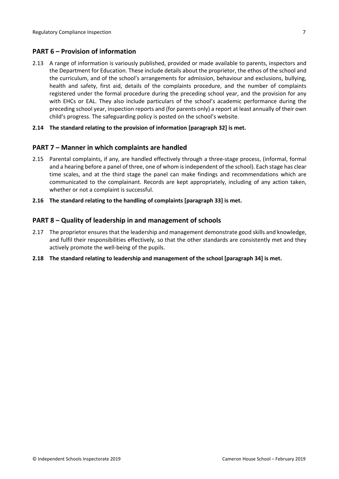### <span id="page-6-0"></span>**PART 6 – Provision of information**

2.13 A range of information is variously published, provided or made available to parents, inspectors and the Department for Education. These include details about the proprietor, the ethos of the school and the curriculum, and of the school's arrangements for admission, behaviour and exclusions, bullying, health and safety, first aid, details of the complaints procedure, and the number of complaints registered under the formal procedure during the preceding school year, and the provision for any with EHCs or EAL. They also include particulars of the school's academic performance during the preceding school year, inspection reports and (for parents only) a report at least annually of their own child's progress. The safeguarding policy is posted on the school's website.

#### **2.14 The standard relating to the provision of information [paragraph 32] is met.**

#### <span id="page-6-1"></span>**PART 7 – Manner in which complaints are handled**

2.15 Parental complaints, if any, are handled effectively through a three-stage process, (informal, formal and a hearing before a panel of three, one of whom is independent of the school). Each stage has clear time scales, and at the third stage the panel can make findings and recommendations which are communicated to the complainant. Records are kept appropriately, including of any action taken, whether or not a complaint is successful.

#### **2.16 The standard relating to the handling of complaints [paragraph 33] is met.**

### <span id="page-6-2"></span>**PART 8 – Quality of leadership in and management of schools**

- 2.17 The proprietor ensures that the leadership and management demonstrate good skills and knowledge, and fulfil their responsibilities effectively, so that the other standards are consistently met and they actively promote the well-being of the pupils.
- **2.18 The standard relating to leadership and management of the school [paragraph 34] is met.**